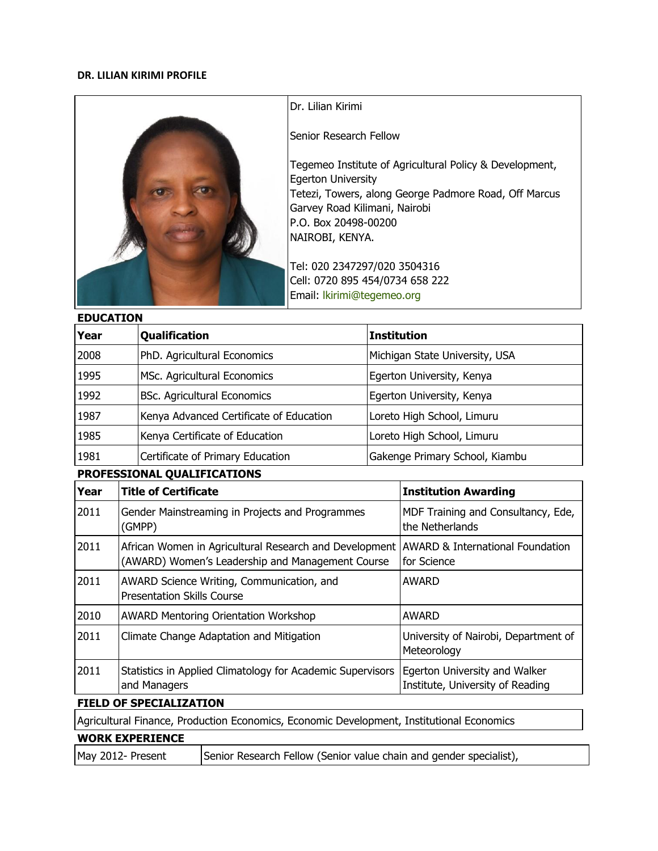### **DR. LILIAN KIRIMI PROFILE**



Dr. Lilian Kirimi

Senior Research Fellow

Tegemeo Institute of Agricultural Policy & Development, Egerton University Tetezi, Towers, along George Padmore Road, Off Marcus Garvey Road Kilimani, Nairobi P.O. Box 20498-00200 NAIROBI, KENYA.

Tel: 020 2347297/020 3504316 Cell: 0720 895 454/0734 658 222 Email: [lkirimi@tegemeo.org](mailto:lkirimi@tegemeo.org)

### **EDUCATION**

| Year                        |                                                                                                | <b>Qualification</b>                                                                                                                                       | <b>Institution</b>             |                                                                   |  |  |
|-----------------------------|------------------------------------------------------------------------------------------------|------------------------------------------------------------------------------------------------------------------------------------------------------------|--------------------------------|-------------------------------------------------------------------|--|--|
| 2008                        |                                                                                                | PhD. Agricultural Economics                                                                                                                                |                                | Michigan State University, USA                                    |  |  |
| 1995                        |                                                                                                | MSc. Agricultural Economics                                                                                                                                |                                | Egerton University, Kenya                                         |  |  |
| 1992                        |                                                                                                | <b>BSc. Agricultural Economics</b>                                                                                                                         |                                | Egerton University, Kenya                                         |  |  |
| 1987                        |                                                                                                | Kenya Advanced Certificate of Education                                                                                                                    |                                | Loreto High School, Limuru                                        |  |  |
| 1985                        |                                                                                                | Kenya Certificate of Education                                                                                                                             | Loreto High School, Limuru     |                                                                   |  |  |
| 1981                        |                                                                                                | Certificate of Primary Education                                                                                                                           | Gakenge Primary School, Kiambu |                                                                   |  |  |
| PROFESSIONAL QUALIFICATIONS |                                                                                                |                                                                                                                                                            |                                |                                                                   |  |  |
| Year                        |                                                                                                | <b>Title of Certificate</b>                                                                                                                                |                                | <b>Institution Awarding</b>                                       |  |  |
| 2011                        |                                                                                                | Gender Mainstreaming in Projects and Programmes<br>(GMPP)                                                                                                  |                                | MDF Training and Consultancy, Ede,<br>the Netherlands             |  |  |
| 2011                        |                                                                                                | African Women in Agricultural Research and Development AWARD & International Foundation<br>(AWARD) Women's Leadership and Management Course<br>for Science |                                |                                                                   |  |  |
| 2011                        | AWARD Science Writing, Communication, and<br><b>AWARD</b><br><b>Presentation Skills Course</b> |                                                                                                                                                            |                                |                                                                   |  |  |
| 2010                        |                                                                                                | <b>AWARD Mentoring Orientation Workshop</b>                                                                                                                |                                | <b>AWARD</b>                                                      |  |  |
| 2011                        | Climate Change Adaptation and Mitigation                                                       |                                                                                                                                                            |                                | University of Nairobi, Department of<br>Meteorology               |  |  |
| 2011                        | Statistics in Applied Climatology for Academic Supervisors<br>and Managers                     |                                                                                                                                                            |                                | Egerton University and Walker<br>Institute, University of Reading |  |  |

# **FIELD OF SPECIALIZATION**

Agricultural Finance, Production Economics, Economic Development, Institutional Economics

## **WORK EXPERIENCE**

May 2012- Present Senior Research Fellow (Senior value chain and gender specialist),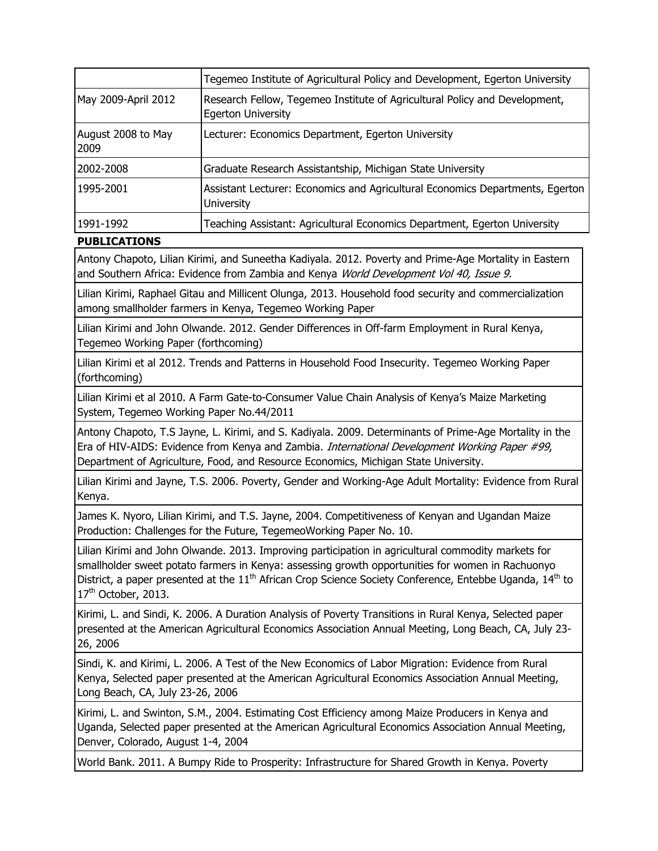|                            | Tegemeo Institute of Agricultural Policy and Development, Egerton University                            |
|----------------------------|---------------------------------------------------------------------------------------------------------|
| May 2009-April 2012        | Research Fellow, Tegemeo Institute of Agricultural Policy and Development,<br><b>Egerton University</b> |
| August 2008 to May<br>2009 | Lecturer: Economics Department, Egerton University                                                      |
| 2002-2008                  | Graduate Research Assistantship, Michigan State University                                              |
| 1995-2001                  | Assistant Lecturer: Economics and Agricultural Economics Departments, Egerton<br><b>University</b>      |
| 1991-1992                  | Teaching Assistant: Agricultural Economics Department, Egerton University                               |

## **PUBLICATIONS**

Antony Chapoto, Lilian Kirimi, and Suneetha Kadiyala. 2012. Poverty and Prime-Age Mortality in Eastern and Southern Africa: Evidence from Zambia and Kenya World Development Vol 40, Issue 9.

Lilian Kirimi, Raphael Gitau and Millicent Olunga, 2013. Household food security and commercialization among smallholder farmers in Kenya, Tegemeo Working Paper

Lilian Kirimi and John Olwande. 2012. Gender Differences in Off-farm Employment in Rural Kenya, Tegemeo Working Paper (forthcoming)

Lilian Kirimi et al 2012. Trends and Patterns in Household Food Insecurity. Tegemeo Working Paper (forthcoming)

Lilian Kirimi et al 2010. A Farm Gate-to-Consumer Value Chain Analysis of Kenya's Maize Marketing System, Tegemeo Working Paper No.44/2011

Antony Chapoto, T.S Jayne, L. Kirimi, and S. Kadiyala. 2009. Determinants of Prime-Age Mortality in the Era of HIV-AIDS: Evidence from Kenya and Zambia. *International Development Working Paper #99*, Department of Agriculture, Food, and Resource Economics, Michigan State University.

Lilian Kirimi and Jayne, T.S. 2006. Poverty, Gender and Working-Age Adult Mortality: Evidence from Rural Kenya.

James K. Nyoro, Lilian Kirimi, and T.S. Jayne, 2004. Competitiveness of Kenyan and Ugandan Maize Production: Challenges for the Future, TegemeoWorking Paper No. 10.

Lilian Kirimi and John Olwande. 2013. Improving participation in agricultural commodity markets for smallholder sweet potato farmers in Kenya: assessing growth opportunities for women in Rachuonyo District, a paper presented at the  $11<sup>th</sup>$  African Crop Science Society Conference, Entebbe Uganda,  $14<sup>th</sup>$  to 17<sup>th</sup> October, 2013.

Kirimi, L. and Sindi, K. 2006. A Duration Analysis of Poverty Transitions in Rural Kenya, Selected paper presented at the American Agricultural Economics Association Annual Meeting, Long Beach, CA, July 23- 26, 2006

Sindi, K. and Kirimi, L. 2006. A Test of the New Economics of Labor Migration: Evidence from Rural Kenya, Selected paper presented at the American Agricultural Economics Association Annual Meeting, Long Beach, CA, July 23-26, 2006

Kirimi, L. and Swinton, S.M., 2004. Estimating Cost Efficiency among Maize Producers in Kenya and Uganda, Selected paper presented at the American Agricultural Economics Association Annual Meeting, Denver, Colorado, August 1-4, 2004

World Bank. 2011. A Bumpy Ride to Prosperity: Infrastructure for Shared Growth in Kenya. Poverty